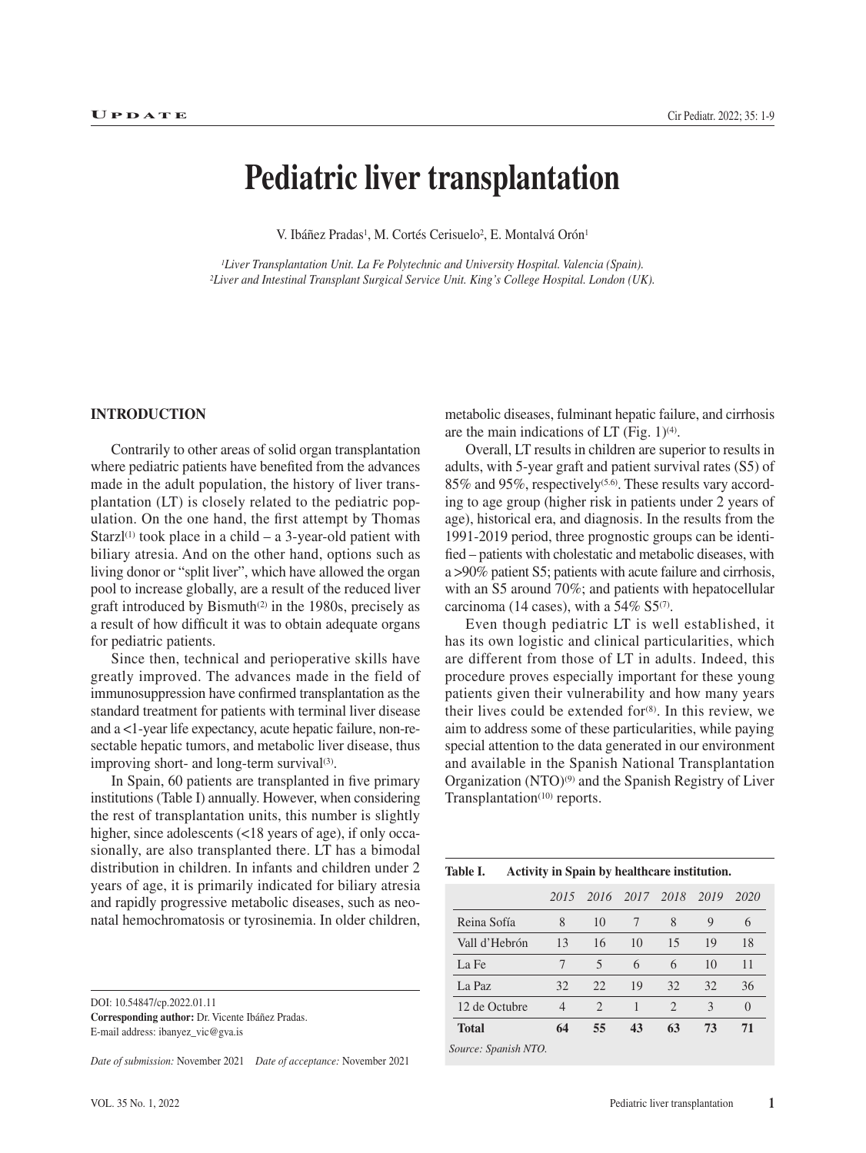# **Pediatric liver transplantation**

V. Ibáñez Pradas<sup>1</sup>, M. Cortés Cerisuelo<sup>2</sup>, E. Montalvá Orón<sup>1</sup>

*1Liver Transplantation Unit. La Fe Polytechnic and University Hospital. Valencia (Spain). 2Liver and Intestinal Transplant Surgical Service Unit. King's College Hospital. London (UK).*

#### **INTRODUCTION**

Contrarily to other areas of solid organ transplantation where pediatric patients have benefited from the advances made in the adult population, the history of liver transplantation (LT) is closely related to the pediatric population. On the one hand, the first attempt by Thomas Starzl $(1)$  took place in a child – a 3-year-old patient with biliary atresia. And on the other hand, options such as living donor or "split liver", which have allowed the organ pool to increase globally, are a result of the reduced liver graft introduced by Bismuth $(2)$  in the 1980s, precisely as a result of how difficult it was to obtain adequate organs for pediatric patients.

Since then, technical and perioperative skills have greatly improved. The advances made in the field of immunosuppression have confirmed transplantation as the standard treatment for patients with terminal liver disease and a <1-year life expectancy, acute hepatic failure, non-resectable hepatic tumors, and metabolic liver disease, thus improving short- and long-term survival<sup>(3)</sup>.

In Spain, 60 patients are transplanted in five primary institutions (Table I) annually. However, when considering the rest of transplantation units, this number is slightly higher, since adolescents (<18 years of age), if only occasionally, are also transplanted there. LT has a bimodal distribution in children. In infants and children under 2 years of age, it is primarily indicated for biliary atresia and rapidly progressive metabolic diseases, such as neonatal hemochromatosis or tyrosinemia. In older children,

DOI: 10.54847/cp.2022.01.11

**Corresponding author:** Dr. Vicente Ibáñez Pradas. E-mail address: ibanyez\_vic@gva.is

*Date of submission:* November 2021 *Date of acceptance:* November 2021

metabolic diseases, fulminant hepatic failure, and cirrhosis are the main indications of LT (Fig.  $1)^{(4)}$ .

Overall, LT results in children are superior to results in adults, with 5-year graft and patient survival rates (S5) of 85% and 95%, respectively(5.6). These results vary according to age group (higher risk in patients under 2 years of age), historical era, and diagnosis. In the results from the 1991-2019 period, three prognostic groups can be identified – patients with cholestatic and metabolic diseases, with a >90% patient S5; patients with acute failure and cirrhosis, with an S5 around 70%; and patients with hepatocellular carcinoma (14 cases), with a  $54\%$  S5<sup>(7)</sup>.

Even though pediatric LT is well established, it has its own logistic and clinical particularities, which are different from those of LT in adults. Indeed, this procedure proves especially important for these young patients given their vulnerability and how many years their lives could be extended for $(8)$ . In this review, we aim to address some of these particularities, while paying special attention to the data generated in our environment and available in the Spanish National Transplantation Organization (NTO)(9) and the Spanish Registry of Liver Transplantation<sup>(10)</sup> reports.

| Table I. |  | Activity in Spain by healthcare institution. |
|----------|--|----------------------------------------------|

|                      | 2015 |                | 2016 2017 2018 |                | 2019 | 2020     |
|----------------------|------|----------------|----------------|----------------|------|----------|
| Reina Sofía          | 8    | 10             | 7              | 8              | 9    | 6        |
| Vall d'Hebrón        | 13   | 16             | 10             | 15             | 19   | 18       |
| La Fe                |      | 5              | 6              | 6              | 10   | 11       |
| La Paz               | 32   | 22.            | 19             | 32             | 32   | 36       |
| 12 de Octubre        | 4    | $\mathfrak{D}$ | 1              | $\mathfrak{D}$ | 3    | $\Omega$ |
| <b>Total</b>         | 64   | 55             | 43             | 63             | 73   | 71       |
| Source: Spanish NTO. |      |                |                |                |      |          |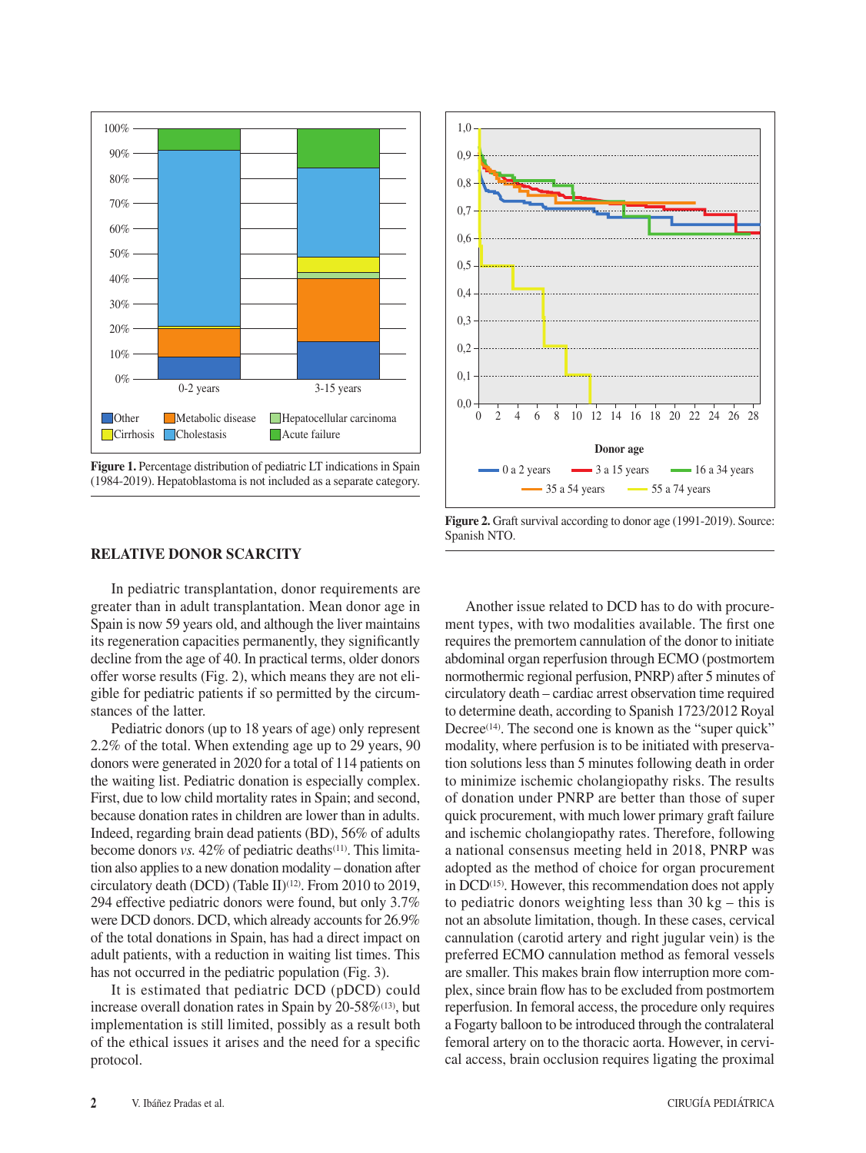

**Figure 1.** Percentage distribution of pediatric LT indications in Spain (1984-2019). Hepatoblastoma is not included as a separate category.

#### **RELATIVE DONOR SCARCITY**

In pediatric transplantation, donor requirements are greater than in adult transplantation. Mean donor age in Spain is now 59 years old, and although the liver maintains its regeneration capacities permanently, they significantly decline from the age of 40. In practical terms, older donors offer worse results (Fig. 2), which means they are not eligible for pediatric patients if so permitted by the circumstances of the latter.

Pediatric donors (up to 18 years of age) only represent 2.2% of the total. When extending age up to 29 years, 90 donors were generated in 2020 for a total of 114 patients on the waiting list. Pediatric donation is especially complex. First, due to low child mortality rates in Spain; and second, because donation rates in children are lower than in adults. Indeed, regarding brain dead patients (BD), 56% of adults become donors *vs.* 42% of pediatric deaths<sup>(11)</sup>. This limitation also applies to a new donation modality – donation after circulatory death (DCD) (Table II)(12). From 2010 to 2019, 294 effective pediatric donors were found, but only 3.7% were DCD donors. DCD, which already accounts for 26.9% of the total donations in Spain, has had a direct impact on adult patients, with a reduction in waiting list times. This has not occurred in the pediatric population (Fig. 3).

It is estimated that pediatric DCD (pDCD) could increase overall donation rates in Spain by 20-58%(13), but implementation is still limited, possibly as a result both of the ethical issues it arises and the need for a specific protocol.



Figure 2. Graft survival according to donor age (1991-2019). Source: Spanish NTO.

Another issue related to DCD has to do with procurement types, with two modalities available. The first one requires the premortem cannulation of the donor to initiate abdominal organ reperfusion through ECMO (postmortem normothermic regional perfusion, PNRP) after 5 minutes of circulatory death – cardiac arrest observation time required to determine death, according to Spanish 1723/2012 Royal Decree<sup>(14)</sup>. The second one is known as the "super quick" modality, where perfusion is to be initiated with preservation solutions less than 5 minutes following death in order to minimize ischemic cholangiopathy risks. The results of donation under PNRP are better than those of super quick procurement, with much lower primary graft failure and ischemic cholangiopathy rates. Therefore, following a national consensus meeting held in 2018, PNRP was adopted as the method of choice for organ procurement in DCD(15). However, this recommendation does not apply to pediatric donors weighting less than 30 kg – this is not an absolute limitation, though. In these cases, cervical cannulation (carotid artery and right jugular vein) is the preferred ECMO cannulation method as femoral vessels are smaller. This makes brain flow interruption more complex, since brain flow has to be excluded from postmortem reperfusion. In femoral access, the procedure only requires a Fogarty balloon to be introduced through the contralateral femoral artery on to the thoracic aorta. However, in cervical access, brain occlusion requires ligating the proximal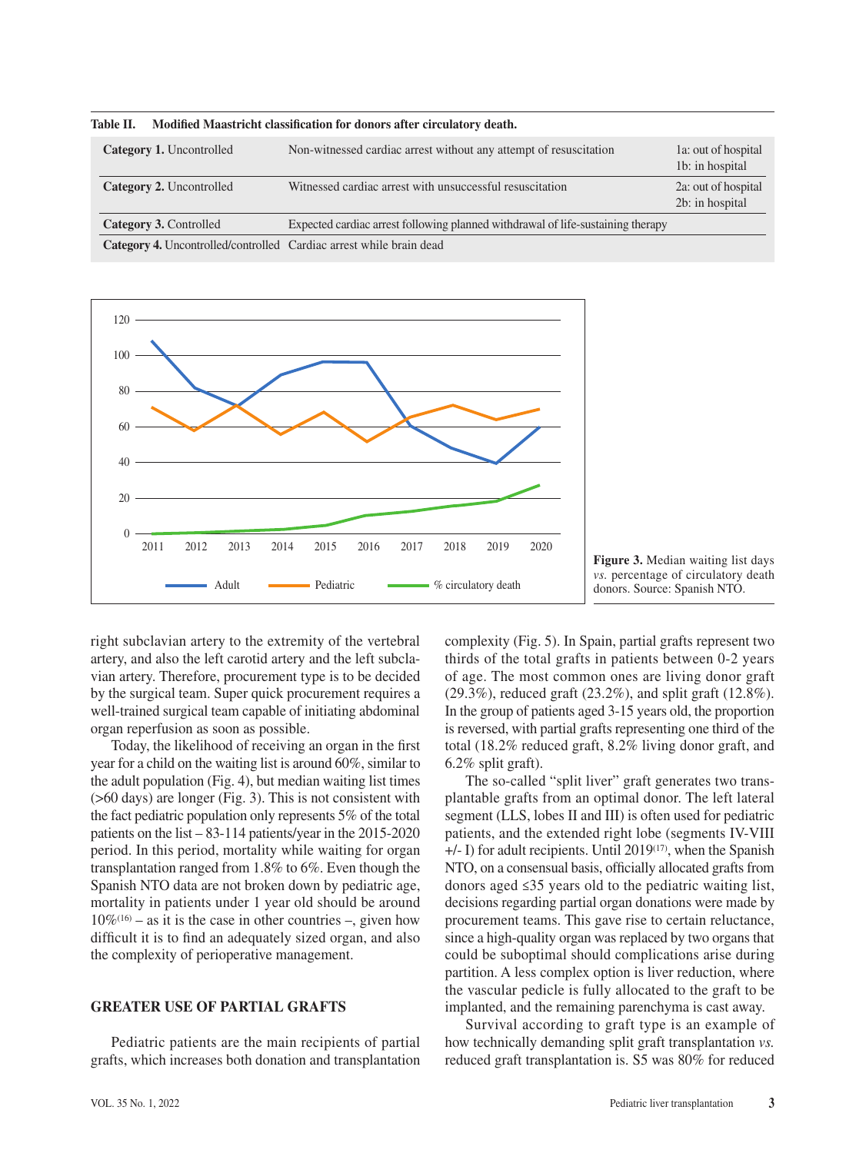| гане п.<br><b>Modified Maastricht classification for donors after circulatory death.</b> |  |                          |                                                                                 |                                        |  |
|------------------------------------------------------------------------------------------|--|--------------------------|---------------------------------------------------------------------------------|----------------------------------------|--|
|                                                                                          |  | Category 1. Uncontrolled | Non-witnessed cardiac arrest without any attempt of resuscitation               | 1a: out of hospital<br>1b: in hospital |  |
|                                                                                          |  | Category 2. Uncontrolled | Witnessed cardiac arrest with unsuccessful resuscitation                        | 2a: out of hospital<br>2b: in hospital |  |
|                                                                                          |  | Category 3. Controlled   | Expected cardiac arrest following planned withdrawal of life-sustaining therapy |                                        |  |
|                                                                                          |  |                          | <b>Category 4.</b> Uncontrolled/controlled Cardiac arrest while brain dead      |                                        |  |

**Table II. Modified Maastricht classification for donors after circulatory death.**





right subclavian artery to the extremity of the vertebral artery, and also the left carotid artery and the left subclavian artery. Therefore, procurement type is to be decided by the surgical team. Super quick procurement requires a well-trained surgical team capable of initiating abdominal organ reperfusion as soon as possible.

Today, the likelihood of receiving an organ in the first year for a child on the waiting list is around 60%, similar to the adult population (Fig. 4), but median waiting list times (>60 days) are longer (Fig. 3). This is not consistent with the fact pediatric population only represents 5% of the total patients on the list – 83-114 patients/year in the 2015-2020 period. In this period, mortality while waiting for organ transplantation ranged from 1.8% to 6%. Even though the Spanish NTO data are not broken down by pediatric age, mortality in patients under 1 year old should be around  $10\%$ <sup>(16)</sup> – as it is the case in other countries –, given how difficult it is to find an adequately sized organ, and also the complexity of perioperative management.

# **GREATER USE OF PARTIAL GRAFTS**

Pediatric patients are the main recipients of partial grafts, which increases both donation and transplantation complexity (Fig. 5). In Spain, partial grafts represent two thirds of the total grafts in patients between 0-2 years of age. The most common ones are living donor graft (29.3%), reduced graft (23.2%), and split graft (12.8%). In the group of patients aged 3-15 years old, the proportion is reversed, with partial grafts representing one third of the total (18.2% reduced graft, 8.2% living donor graft, and 6.2% split graft).

The so-called "split liver" graft generates two transplantable grafts from an optimal donor. The left lateral segment (LLS, lobes II and III) is often used for pediatric patients, and the extended right lobe (segments IV-VIII  $+/-$  I) for adult recipients. Until 2019<sup>(17)</sup>, when the Spanish NTO, on a consensual basis, officially allocated grafts from donors aged ≤35 years old to the pediatric waiting list, decisions regarding partial organ donations were made by procurement teams. This gave rise to certain reluctance, since a high-quality organ was replaced by two organs that could be suboptimal should complications arise during partition. A less complex option is liver reduction, where the vascular pedicle is fully allocated to the graft to be implanted, and the remaining parenchyma is cast away.

Survival according to graft type is an example of how technically demanding split graft transplantation *vs.* reduced graft transplantation is. S5 was 80% for reduced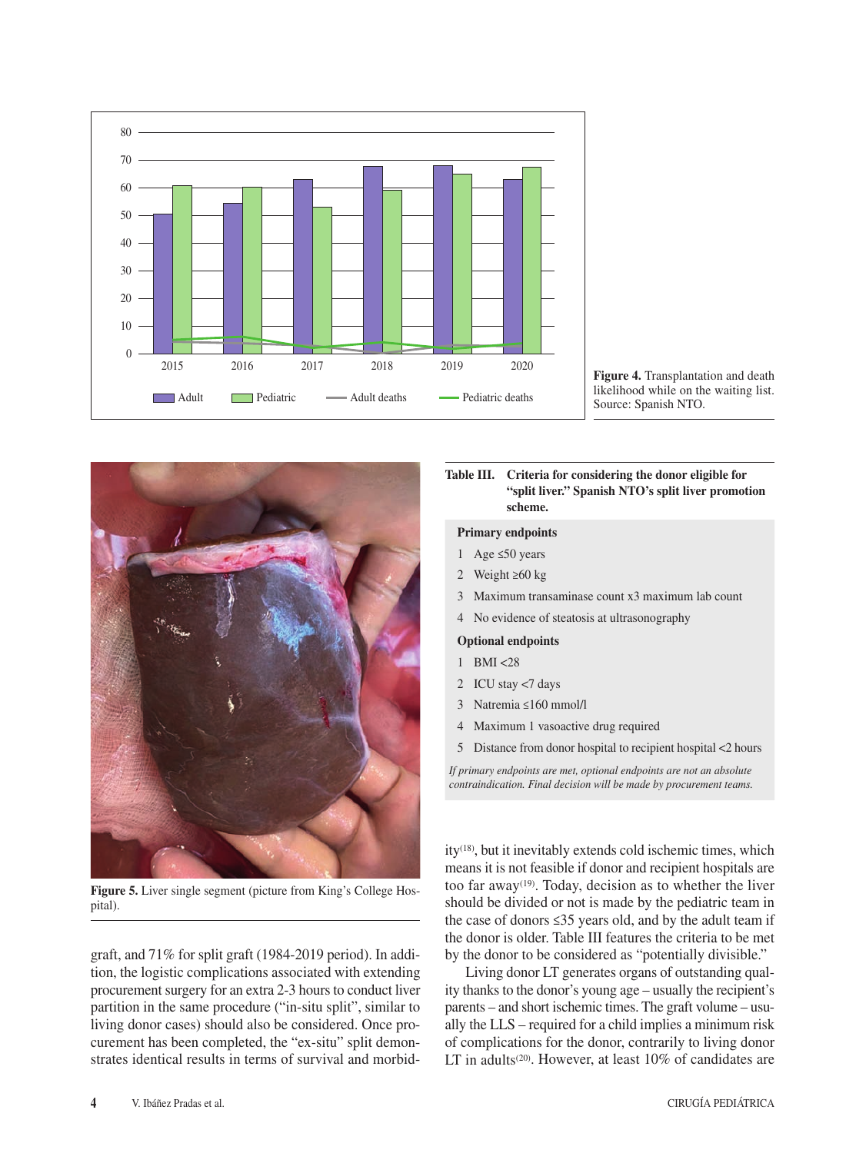

Figure 4. Transplantation and death likelihood while on the waiting list. Source: Spanish NTO.



**Figure 5.** Liver single segment (picture from King's College Hospital).

graft, and 71% for split graft (1984-2019 period). In addition, the logistic complications associated with extending procurement surgery for an extra 2-3 hours to conduct liver partition in the same procedure ("in-situ split", similar to living donor cases) should also be considered. Once procurement has been completed, the "ex-situ" split demonstrates identical results in terms of survival and morbid-

#### **Table III. Criteria for considering the donor eligible for "split liver." Spanish NTO's split liver promotion scheme.**

#### **Primary endpoints**

- 1 Age ≤50 years
- 2 Weight ≥60 kg
- 3 Maximum transaminase count x3 maximum lab count
- 4 No evidence of steatosis at ultrasonography

#### **Optional endpoints**

- 1 BMI <28
- 2 ICU stay <7 days
- 3 Natremia ≤160 mmol/l
- 4 Maximum 1 vasoactive drug required
- 5 Distance from donor hospital to recipient hospital <2 hours

*If primary endpoints are met, optional endpoints are not an absolute contraindication. Final decision will be made by procurement teams.*

ity<sup>(18)</sup>, but it inevitably extends cold ischemic times, which means it is not feasible if donor and recipient hospitals are too far away<sup> $(19)$ </sup>. Today, decision as to whether the liver should be divided or not is made by the pediatric team in the case of donors ≤35 years old, and by the adult team if the donor is older. Table III features the criteria to be met by the donor to be considered as "potentially divisible."

Living donor LT generates organs of outstanding quality thanks to the donor's young age – usually the recipient's parents – and short ischemic times. The graft volume – usually the LLS – required for a child implies a minimum risk of complications for the donor, contrarily to living donor LT in adults<sup>(20)</sup>. However, at least  $10\%$  of candidates are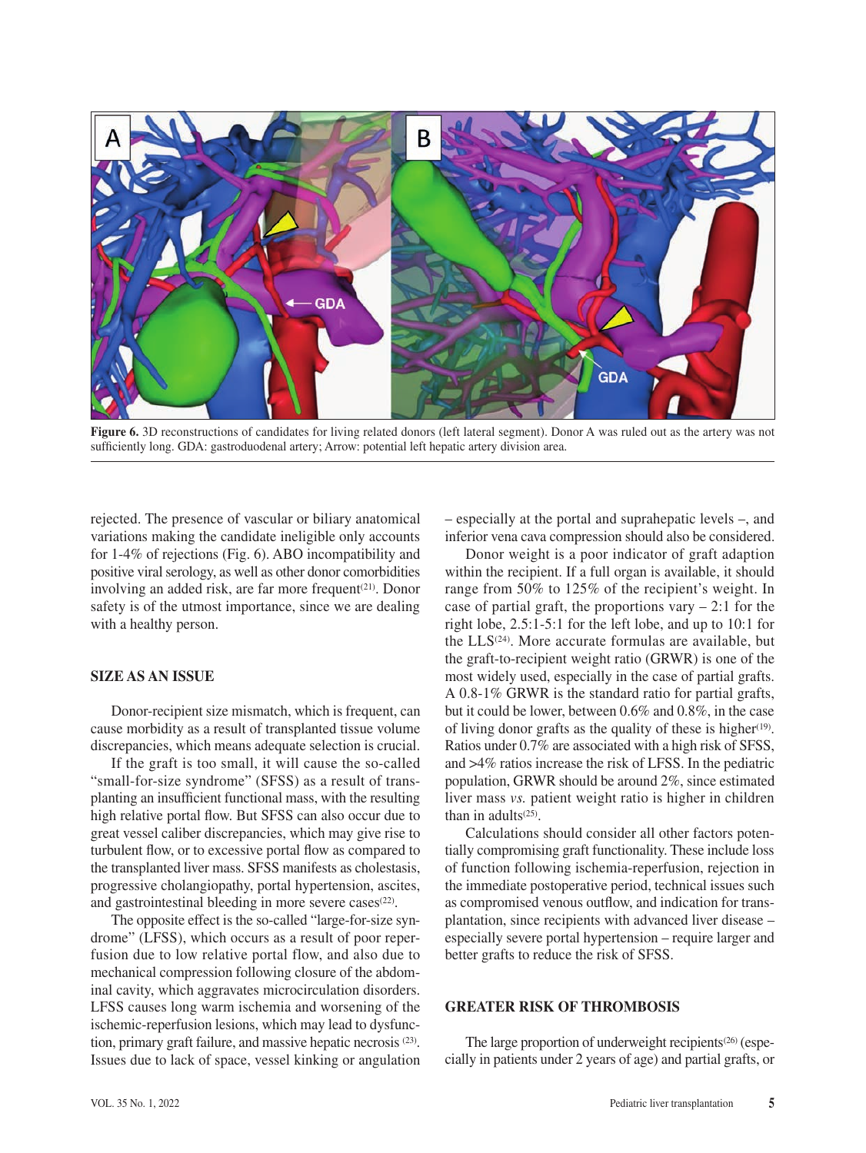

Figure 6. 3D reconstructions of candidates for living related donors (left lateral segment). Donor A was ruled out as the artery was not sufficiently long. GDA: gastroduodenal artery; Arrow: potential left hepatic artery division area.

rejected. The presence of vascular or biliary anatomical variations making the candidate ineligible only accounts for 1-4% of rejections (Fig. 6). ABO incompatibility and positive viral serology, as well as other donor comorbidities involving an added risk, are far more frequent<sup>(21)</sup>. Donor safety is of the utmost importance, since we are dealing with a healthy person.

## **SIZE AS AN ISSUE**

Donor-recipient size mismatch, which is frequent, can cause morbidity as a result of transplanted tissue volume discrepancies, which means adequate selection is crucial.

If the graft is too small, it will cause the so-called "small-for-size syndrome" (SFSS) as a result of transplanting an insufficient functional mass, with the resulting high relative portal flow. But SFSS can also occur due to great vessel caliber discrepancies, which may give rise to turbulent flow, or to excessive portal flow as compared to the transplanted liver mass. SFSS manifests as cholestasis, progressive cholangiopathy, portal hypertension, ascites, and gastrointestinal bleeding in more severe cases<sup>(22)</sup>.

The opposite effect is the so-called "large-for-size syndrome" (LFSS), which occurs as a result of poor reperfusion due to low relative portal flow, and also due to mechanical compression following closure of the abdominal cavity, which aggravates microcirculation disorders. LFSS causes long warm ischemia and worsening of the ischemic-reperfusion lesions, which may lead to dysfunction, primary graft failure, and massive hepatic necrosis (23). Issues due to lack of space, vessel kinking or angulation – especially at the portal and suprahepatic levels –, and inferior vena cava compression should also be considered.

Donor weight is a poor indicator of graft adaption within the recipient. If a full organ is available, it should range from 50% to 125% of the recipient's weight. In case of partial graft, the proportions vary  $-2:1$  for the right lobe, 2.5:1-5:1 for the left lobe, and up to 10:1 for the LLS<sup>(24)</sup>. More accurate formulas are available, but the graft-to-recipient weight ratio (GRWR) is one of the most widely used, especially in the case of partial grafts. A 0.8-1% GRWR is the standard ratio for partial grafts, but it could be lower, between 0.6% and 0.8%, in the case of living donor grafts as the quality of these is higher<sup> $(19)$ </sup>. Ratios under 0.7% are associated with a high risk of SFSS, and >4% ratios increase the risk of LFSS. In the pediatric population, GRWR should be around 2%, since estimated liver mass *vs.* patient weight ratio is higher in children than in adults $(25)$ .

Calculations should consider all other factors potentially compromising graft functionality. These include loss of function following ischemia-reperfusion, rejection in the immediate postoperative period, technical issues such as compromised venous outflow, and indication for transplantation, since recipients with advanced liver disease – especially severe portal hypertension – require larger and better grafts to reduce the risk of SFSS.

## **GREATER RISK OF THROMBOSIS**

The large proportion of underweight recipients<sup>(26)</sup> (especially in patients under 2 years of age) and partial grafts, or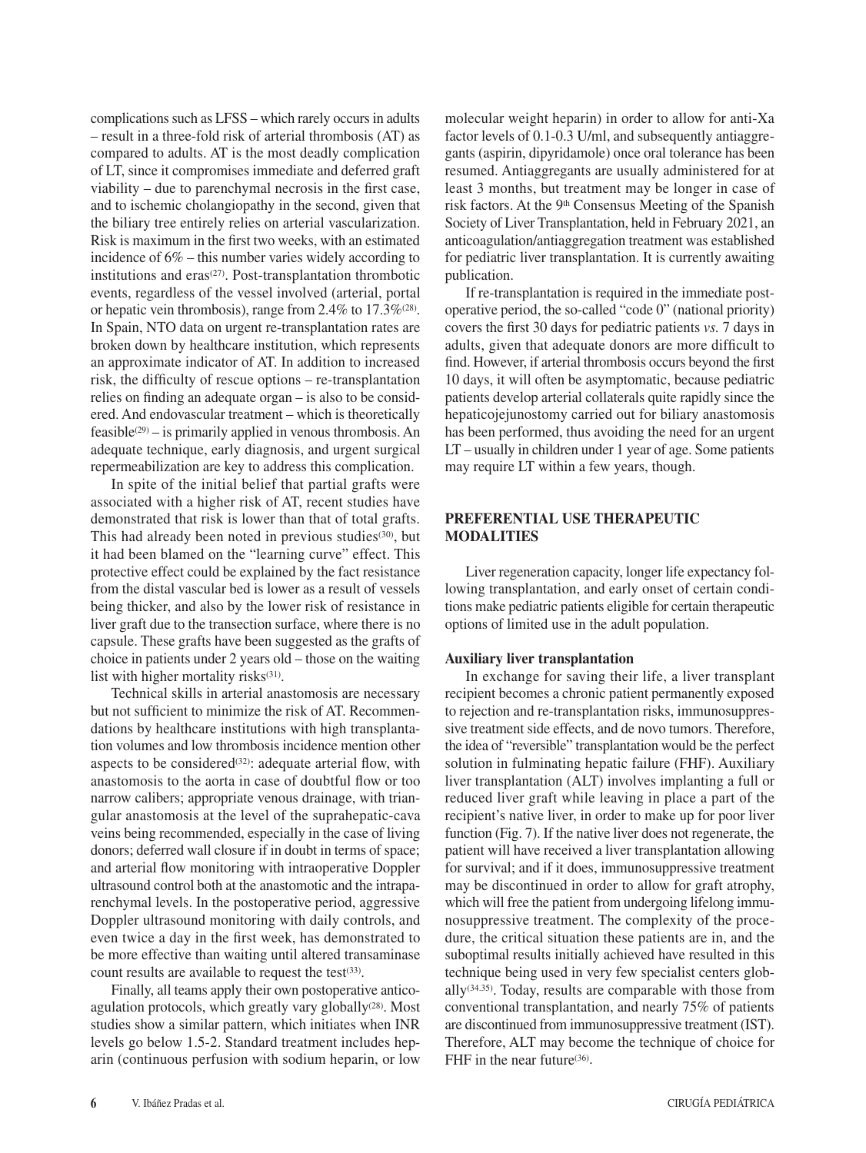complications such as LFSS – which rarely occurs in adults – result in a three-fold risk of arterial thrombosis (AT) as compared to adults. AT is the most deadly complication of LT, since it compromises immediate and deferred graft viability – due to parenchymal necrosis in the first case, and to ischemic cholangiopathy in the second, given that the biliary tree entirely relies on arterial vascularization. Risk is maximum in the first two weeks, with an estimated incidence of 6% – this number varies widely according to institutions and eras $(27)$ . Post-transplantation thrombotic events, regardless of the vessel involved (arterial, portal or hepatic vein thrombosis), range from 2.4% to 17.3%(28). In Spain, NTO data on urgent re-transplantation rates are broken down by healthcare institution, which represents an approximate indicator of AT. In addition to increased risk, the difficulty of rescue options – re-transplantation relies on finding an adequate organ – is also to be considered. And endovascular treatment – which is theoretically  $feasible^{(29)} - is primarily applied in venous thrombosis. An$ adequate technique, early diagnosis, and urgent surgical repermeabilization are key to address this complication.

In spite of the initial belief that partial grafts were associated with a higher risk of AT, recent studies have demonstrated that risk is lower than that of total grafts. This had already been noted in previous studies $(30)$ , but it had been blamed on the "learning curve" effect. This protective effect could be explained by the fact resistance from the distal vascular bed is lower as a result of vessels being thicker, and also by the lower risk of resistance in liver graft due to the transection surface, where there is no capsule. These grafts have been suggested as the grafts of choice in patients under 2 years old – those on the waiting list with higher mortality risks(31).

Technical skills in arterial anastomosis are necessary but not sufficient to minimize the risk of AT. Recommendations by healthcare institutions with high transplantation volumes and low thrombosis incidence mention other aspects to be considered<sup> $(32)$ </sup>: adequate arterial flow, with anastomosis to the aorta in case of doubtful flow or too narrow calibers; appropriate venous drainage, with triangular anastomosis at the level of the suprahepatic-cava veins being recommended, especially in the case of living donors; deferred wall closure if in doubt in terms of space; and arterial flow monitoring with intraoperative Doppler ultrasound control both at the anastomotic and the intraparenchymal levels. In the postoperative period, aggressive Doppler ultrasound monitoring with daily controls, and even twice a day in the first week, has demonstrated to be more effective than waiting until altered transaminase count results are available to request the test<sup>(33)</sup>.

Finally, all teams apply their own postoperative anticoagulation protocols, which greatly vary globally<sup>(28)</sup>. Most studies show a similar pattern, which initiates when INR levels go below 1.5-2. Standard treatment includes heparin (continuous perfusion with sodium heparin, or low molecular weight heparin) in order to allow for anti-Xa factor levels of 0.1-0.3 U/ml, and subsequently antiaggregants (aspirin, dipyridamole) once oral tolerance has been resumed. Antiaggregants are usually administered for at least 3 months, but treatment may be longer in case of risk factors. At the 9th Consensus Meeting of the Spanish Society of Liver Transplantation, held in February 2021, an anticoagulation/antiaggregation treatment was established for pediatric liver transplantation. It is currently awaiting publication.

If re-transplantation is required in the immediate postoperative period, the so-called "code 0" (national priority) covers the first 30 days for pediatric patients *vs.* 7 days in adults, given that adequate donors are more difficult to find. However, if arterial thrombosis occurs beyond the first 10 days, it will often be asymptomatic, because pediatric patients develop arterial collaterals quite rapidly since the hepaticojejunostomy carried out for biliary anastomosis has been performed, thus avoiding the need for an urgent LT – usually in children under 1 year of age. Some patients may require LT within a few years, though.

# **PREFERENTIAL USE THERAPEUTIC MODALITIES**

Liver regeneration capacity, longer life expectancy following transplantation, and early onset of certain conditions make pediatric patients eligible for certain therapeutic options of limited use in the adult population.

### **Auxiliary liver transplantation**

In exchange for saving their life, a liver transplant recipient becomes a chronic patient permanently exposed to rejection and re-transplantation risks, immunosuppressive treatment side effects, and de novo tumors. Therefore, the idea of "reversible" transplantation would be the perfect solution in fulminating hepatic failure (FHF). Auxiliary liver transplantation (ALT) involves implanting a full or reduced liver graft while leaving in place a part of the recipient's native liver, in order to make up for poor liver function (Fig. 7). If the native liver does not regenerate, the patient will have received a liver transplantation allowing for survival; and if it does, immunosuppressive treatment may be discontinued in order to allow for graft atrophy, which will free the patient from undergoing lifelong immunosuppressive treatment. The complexity of the procedure, the critical situation these patients are in, and the suboptimal results initially achieved have resulted in this technique being used in very few specialist centers globally(34.35). Today, results are comparable with those from conventional transplantation, and nearly 75% of patients are discontinued from immunosuppressive treatment (IST). Therefore, ALT may become the technique of choice for FHF in the near future<sup>(36)</sup>.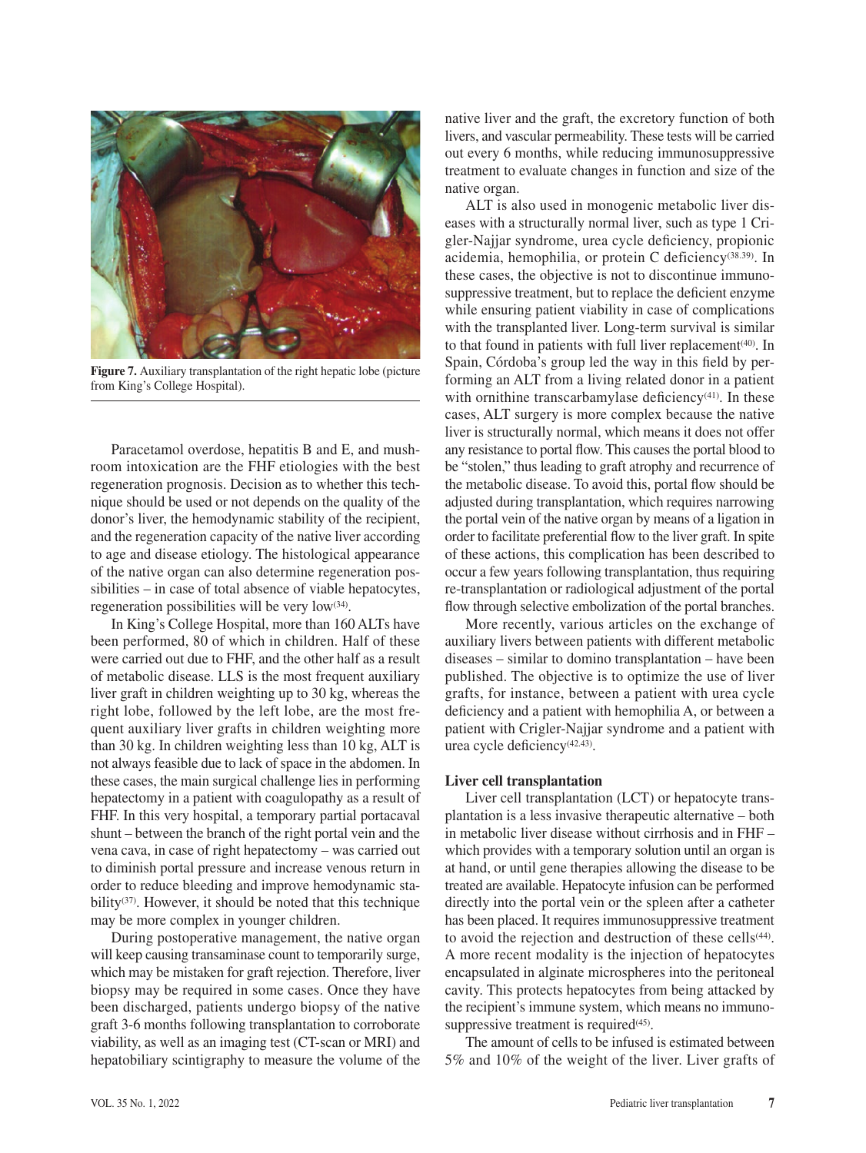

**Figure 7.** Auxiliary transplantation of the right hepatic lobe (picture from King's College Hospital).

Paracetamol overdose, hepatitis B and E, and mushroom intoxication are the FHF etiologies with the best regeneration prognosis. Decision as to whether this technique should be used or not depends on the quality of the donor's liver, the hemodynamic stability of the recipient, and the regeneration capacity of the native liver according to age and disease etiology. The histological appearance of the native organ can also determine regeneration possibilities – in case of total absence of viable hepatocytes, regeneration possibilities will be very low<sup>(34)</sup>.

In King's College Hospital, more than 160 ALTs have been performed, 80 of which in children. Half of these were carried out due to FHF, and the other half as a result of metabolic disease. LLS is the most frequent auxiliary liver graft in children weighting up to 30 kg, whereas the right lobe, followed by the left lobe, are the most frequent auxiliary liver grafts in children weighting more than 30 kg. In children weighting less than 10 kg, ALT is not always feasible due to lack of space in the abdomen. In these cases, the main surgical challenge lies in performing hepatectomy in a patient with coagulopathy as a result of FHF. In this very hospital, a temporary partial portacaval shunt – between the branch of the right portal vein and the vena cava, in case of right hepatectomy – was carried out to diminish portal pressure and increase venous return in order to reduce bleeding and improve hemodynamic stability $(37)$ . However, it should be noted that this technique may be more complex in younger children.

During postoperative management, the native organ will keep causing transaminase count to temporarily surge, which may be mistaken for graft rejection. Therefore, liver biopsy may be required in some cases. Once they have been discharged, patients undergo biopsy of the native graft 3-6 months following transplantation to corroborate viability, as well as an imaging test (CT-scan or MRI) and hepatobiliary scintigraphy to measure the volume of the native liver and the graft, the excretory function of both livers, and vascular permeability. These tests will be carried out every 6 months, while reducing immunosuppressive treatment to evaluate changes in function and size of the native organ.

ALT is also used in monogenic metabolic liver diseases with a structurally normal liver, such as type 1 Crigler-Najjar syndrome, urea cycle deficiency, propionic acidemia, hemophilia, or protein C deficiency(38.39). In these cases, the objective is not to discontinue immunosuppressive treatment, but to replace the deficient enzyme while ensuring patient viability in case of complications with the transplanted liver. Long-term survival is similar to that found in patients with full liver replacement<sup>(40)</sup>. In Spain, Córdoba's group led the way in this field by performing an ALT from a living related donor in a patient with ornithine transcarbamylase deficiency<sup>(41)</sup>. In these cases, ALT surgery is more complex because the native liver is structurally normal, which means it does not offer any resistance to portal flow. This causes the portal blood to be "stolen," thus leading to graft atrophy and recurrence of the metabolic disease. To avoid this, portal flow should be adjusted during transplantation, which requires narrowing the portal vein of the native organ by means of a ligation in order to facilitate preferential flow to the liver graft. In spite of these actions, this complication has been described to occur a few years following transplantation, thus requiring re-transplantation or radiological adjustment of the portal flow through selective embolization of the portal branches.

More recently, various articles on the exchange of auxiliary livers between patients with different metabolic diseases – similar to domino transplantation – have been published. The objective is to optimize the use of liver grafts, for instance, between a patient with urea cycle deficiency and a patient with hemophilia A, or between a patient with Crigler-Najjar syndrome and a patient with urea cycle deficiency(42.43).

#### **Liver cell transplantation**

Liver cell transplantation (LCT) or hepatocyte transplantation is a less invasive therapeutic alternative – both in metabolic liver disease without cirrhosis and in FHF – which provides with a temporary solution until an organ is at hand, or until gene therapies allowing the disease to be treated are available. Hepatocyte infusion can be performed directly into the portal vein or the spleen after a catheter has been placed. It requires immunosuppressive treatment to avoid the rejection and destruction of these cells(44). A more recent modality is the injection of hepatocytes encapsulated in alginate microspheres into the peritoneal cavity. This protects hepatocytes from being attacked by the recipient's immune system, which means no immunosuppressive treatment is required $(45)$ .

The amount of cells to be infused is estimated between 5% and 10% of the weight of the liver. Liver grafts of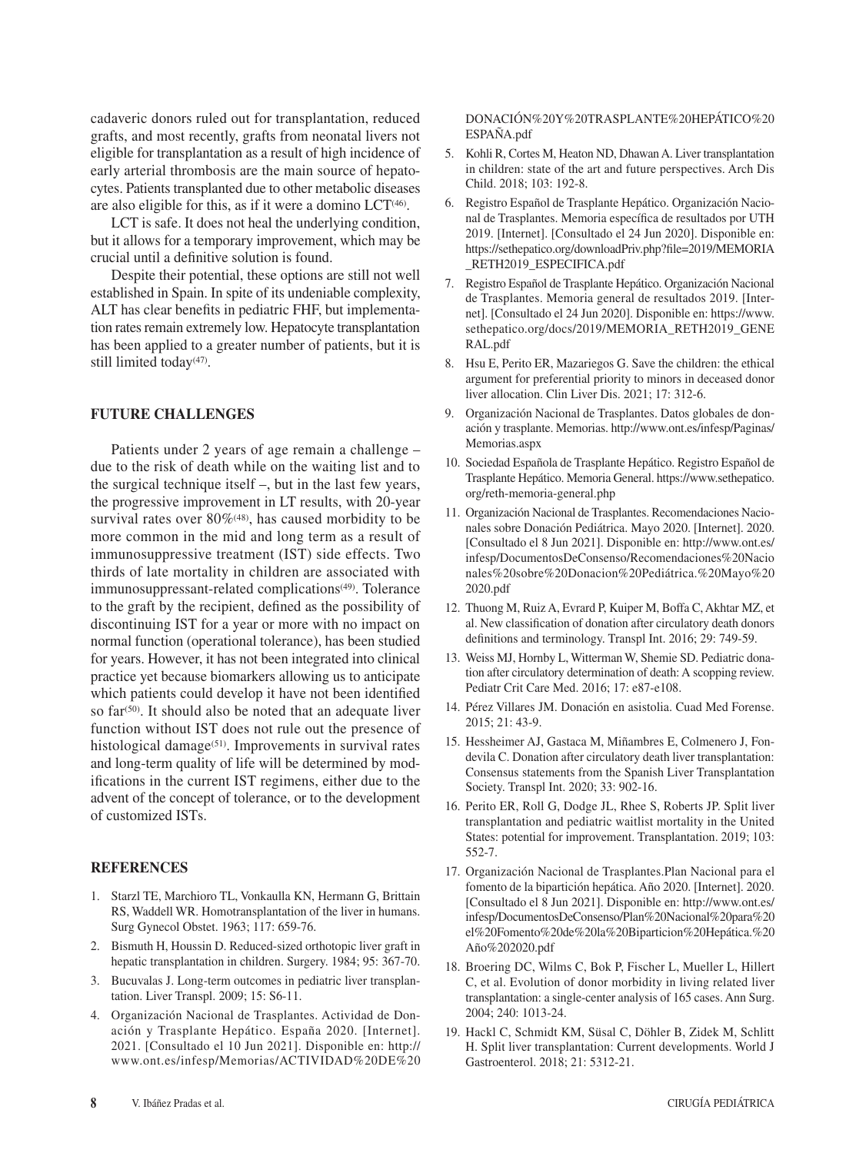cadaveric donors ruled out for transplantation, reduced grafts, and most recently, grafts from neonatal livers not eligible for transplantation as a result of high incidence of early arterial thrombosis are the main source of hepatocytes. Patients transplanted due to other metabolic diseases are also eligible for this, as if it were a domino  $LCT<sup>(46)</sup>$ .

LCT is safe. It does not heal the underlying condition, but it allows for a temporary improvement, which may be crucial until a definitive solution is found.

Despite their potential, these options are still not well established in Spain. In spite of its undeniable complexity, ALT has clear benefits in pediatric FHF, but implementation rates remain extremely low. Hepatocyte transplantation has been applied to a greater number of patients, but it is still limited today<sup>(47)</sup>.

## **FUTURE CHALLENGES**

Patients under 2 years of age remain a challenge – due to the risk of death while on the waiting list and to the surgical technique itself –, but in the last few years, the progressive improvement in LT results, with 20-year survival rates over  $80\%$ <sup>(48)</sup>, has caused morbidity to be more common in the mid and long term as a result of immunosuppressive treatment (IST) side effects. Two thirds of late mortality in children are associated with immunosuppressant-related complications<sup>(49)</sup>. Tolerance to the graft by the recipient, defined as the possibility of discontinuing IST for a year or more with no impact on normal function (operational tolerance), has been studied for years. However, it has not been integrated into clinical practice yet because biomarkers allowing us to anticipate which patients could develop it have not been identified so far $(50)$ . It should also be noted that an adequate liver function without IST does not rule out the presence of histological damage<sup>(51)</sup>. Improvements in survival rates and long-term quality of life will be determined by modifications in the current IST regimens, either due to the advent of the concept of tolerance, or to the development of customized ISTs.

# **REFERENCES**

- 1. Starzl TE, Marchioro TL, Vonkaulla KN, Hermann G, Brittain RS, Waddell WR. Homotransplantation of the liver in humans. Surg Gynecol Obstet. 1963; 117: 659-76.
- 2. Bismuth H, Houssin D. Reduced-sized orthotopic liver graft in hepatic transplantation in children. Surgery. 1984; 95: 367-70.
- 3. Bucuvalas J. Long-term outcomes in pediatric liver transplantation. Liver Transpl. 2009; 15: S6-11.
- 4. Organización Nacional de Trasplantes. Actividad de Donación y Trasplante Hepático. España 2020. [Internet]. 2021. [Consultado el 10 Jun 2021]. Disponible en: http:// www.ont.es/infesp/Memorias/ACTIVIDAD%20DE%20

DONACIÓN%20Y%20TRASPLANTE%20HEPÁTICO%20 ESPAÑA.pdf

- 5. Kohli R, Cortes M, Heaton ND, Dhawan A. Liver transplantation in children: state of the art and future perspectives. Arch Dis Child. 2018; 103: 192-8.
- 6. Registro Español de Trasplante Hepático. Organización Nacional de Trasplantes. Memoria específica de resultados por UTH 2019. [Internet]. [Consultado el 24 Jun 2020]. Disponible en: https://sethepatico.org/downloadPriv.php?file=2019/MEMORIA RETH2019\_ESPECIFICA.pdf
- 7. Registro Español de Trasplante Hepático. Organización Nacional de Trasplantes. Memoria general de resultados 2019. [Internet]. [Consultado el 24 Jun 2020]. Disponible en: https://www. sethepatico.org/docs/2019/MEMORIA\_RETH2019\_GENE RAL.pdf
- 8. Hsu E, Perito ER, Mazariegos G. Save the children: the ethical argument for preferential priority to minors in deceased donor liver allocation. Clin Liver Dis. 2021; 17: 312-6.
- 9. Organización Nacional de Trasplantes. Datos globales de donación y trasplante. Memorias. http://www.ont.es/infesp/Paginas/ Memorias.aspx
- 10. Sociedad Española de Trasplante Hepático. Registro Español de Trasplante Hepático. Memoria General. https://www.sethepatico. org/reth-memoria-general.php
- 11. Organización Nacional de Trasplantes. Recomendaciones Nacionales sobre Donación Pediátrica. Mayo 2020. [Internet]. 2020. [Consultado el 8 Jun 2021]. Disponible en: http://www.ont.es/ infesp/DocumentosDeConsenso/Recomendaciones%20Nacio nales%20sobre%20Donacion%20Pediátrica.%20Mayo%20 2020.pdf
- 12. Thuong M, Ruiz A, Evrard P, Kuiper M, Boffa C, Akhtar MZ, et al. New classification of donation after circulatory death donors definitions and terminology. Transpl Int. 2016; 29: 749-59.
- 13. Weiss MJ, Hornby L, Witterman W, Shemie SD. Pediatric donation after circulatory determination of death: A scopping review. Pediatr Crit Care Med. 2016; 17: e87-e108.
- 14. Pérez Villares JM. Donación en asistolia. Cuad Med Forense. 2015; 21: 43-9.
- 15. Hessheimer AJ, Gastaca M, Miñambres E, Colmenero J, Fondevila C. Donation after circulatory death liver transplantation: Consensus statements from the Spanish Liver Transplantation Society. Transpl Int. 2020; 33: 902-16.
- 16. Perito ER, Roll G, Dodge JL, Rhee S, Roberts JP. Split liver transplantation and pediatric waitlist mortality in the United States: potential for improvement. Transplantation. 2019; 103: 552-7.
- 17. Organización Nacional de Trasplantes.Plan Nacional para el fomento de la bipartición hepática. Año 2020. [Internet]. 2020. [Consultado el 8 Jun 2021]. Disponible en: http://www.ont.es/ infesp/DocumentosDeConsenso/Plan%20Nacional%20para%20 el%20Fomento%20de%20la%20Biparticion%20Hepática.%20 Año%202020.pdf
- 18. Broering DC, Wilms C, Bok P, Fischer L, Mueller L, Hillert C, et al. Evolution of donor morbidity in living related liver transplantation: a single-center analysis of 165 cases. Ann Surg. 2004; 240: 1013-24.
- 19. Hackl C, Schmidt KM, Süsal C, Döhler B, Zidek M, Schlitt H. Split liver transplantation: Current developments. World J Gastroenterol. 2018; 21: 5312-21.